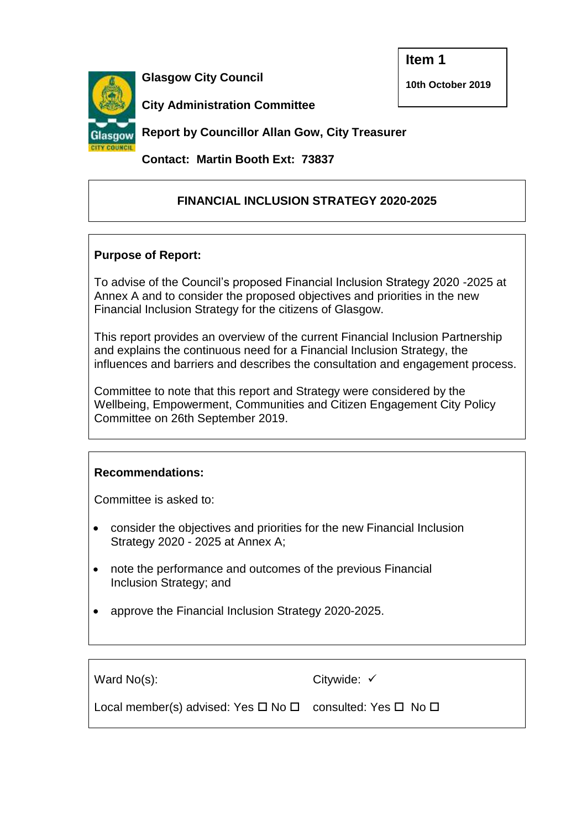**Item 1**

**10th October 2019**



**Glasgow City Council**

**City Administration Committee** 

**Report by Councillor Allan Gow, City Treasurer**

**Contact: Martin Booth Ext: 73837**

## **FINANCIAL INCLUSION STRATEGY 2020-2025**

## **Purpose of Report:**

To advise of the Council's proposed Financial Inclusion Strategy 2020 -2025 at Annex A and to consider the proposed objectives and priorities in the new Financial Inclusion Strategy for the citizens of Glasgow.

This report provides an overview of the current Financial Inclusion Partnership and explains the continuous need for a Financial Inclusion Strategy, the influences and barriers and describes the consultation and engagement process.

Committee to note that this report and Strategy were considered by the Wellbeing, Empowerment, Communities and Citizen Engagement City Policy Committee on 26th September 2019.

## **Recommendations:**

Committee is asked to:

- consider the objectives and priorities for the new Financial Inclusion Strategy 2020 - 2025 at Annex A;
- note the performance and outcomes of the previous Financial Inclusion Strategy; and
- approve the Financial Inclusion Strategy 2020-2025.

Ward No(s): Local member(s) advised: Yes  $\Box$  No  $\Box$  consulted: Yes  $\Box$  No  $\Box$ Citywide: √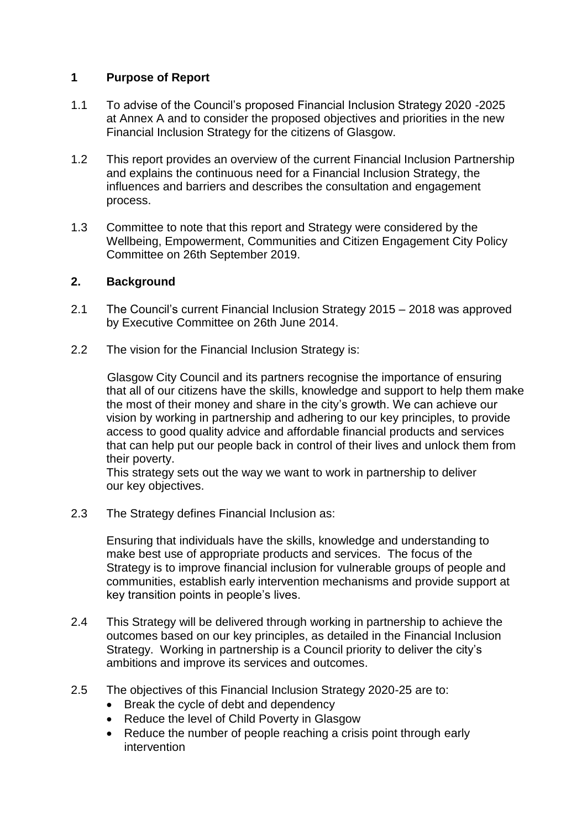## **1 Purpose of Report**

- 1.1 To advise of the Council's proposed Financial Inclusion Strategy 2020 -2025 at Annex A and to consider the proposed objectives and priorities in the new Financial Inclusion Strategy for the citizens of Glasgow.
- 1.2 This report provides an overview of the current Financial Inclusion Partnership and explains the continuous need for a Financial Inclusion Strategy, the influences and barriers and describes the consultation and engagement process.
- 1.3 Committee to note that this report and Strategy were considered by the Wellbeing, Empowerment, Communities and Citizen Engagement City Policy Committee on 26th September 2019.

#### **2. Background**

- 2.1 The Council's current Financial Inclusion Strategy 2015 2018 was approved by Executive Committee on 26th June 2014.
- 2.2 The vision for the Financial Inclusion Strategy is:

Glasgow City Council and its partners recognise the importance of ensuring that all of our citizens have the skills, knowledge and support to help them make the most of their money and share in the city's growth. We can achieve our vision by working in partnership and adhering to our key principles, to provide access to good quality advice and affordable financial products and services that can help put our people back in control of their lives and unlock them from their poverty.

This strategy sets out the way we want to work in partnership to deliver our key objectives.

2.3 The Strategy defines Financial Inclusion as:

Ensuring that individuals have the skills, knowledge and understanding to make best use of appropriate products and services. The focus of the Strategy is to improve financial inclusion for vulnerable groups of people and communities, establish early intervention mechanisms and provide support at key transition points in people's lives.

- 2.4 This Strategy will be delivered through working in partnership to achieve the outcomes based on our key principles, as detailed in the Financial Inclusion Strategy. Working in partnership is a Council priority to deliver the city's ambitions and improve its services and outcomes.
- 2.5 The objectives of this Financial Inclusion Strategy 2020-25 are to:
	- Break the cycle of debt and dependency
	- Reduce the level of Child Poverty in Glasgow
	- Reduce the number of people reaching a crisis point through early intervention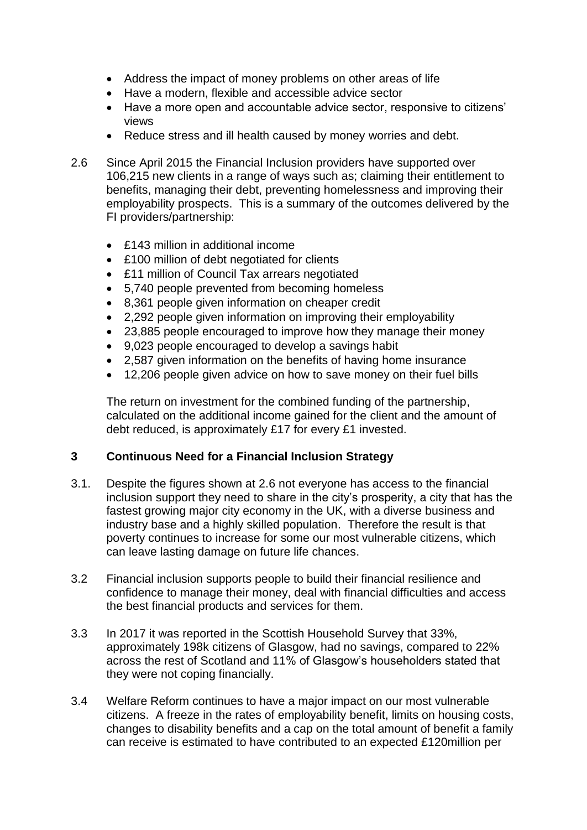- Address the impact of money problems on other areas of life
- Have a modern, flexible and accessible advice sector
- Have a more open and accountable advice sector, responsive to citizens' views
- Reduce stress and ill health caused by money worries and debt.
- 2.6 Since April 2015 the Financial Inclusion providers have supported over 106,215 new clients in a range of ways such as; claiming their entitlement to benefits, managing their debt, preventing homelessness and improving their employability prospects. This is a summary of the outcomes delivered by the FI providers/partnership:
	- £143 million in additional income
	- £100 million of debt negotiated for clients
	- £11 million of Council Tax arrears negotiated
	- 5,740 people prevented from becoming homeless
	- 8,361 people given information on cheaper credit
	- 2,292 people given information on improving their employability
	- 23,885 people encouraged to improve how they manage their money
	- 9,023 people encouraged to develop a savings habit
	- 2,587 given information on the benefits of having home insurance
	- 12,206 people given advice on how to save money on their fuel bills

The return on investment for the combined funding of the partnership, calculated on the additional income gained for the client and the amount of debt reduced, is approximately £17 for every £1 invested.

#### **3 Continuous Need for a Financial Inclusion Strategy**

- 3.1. Despite the figures shown at 2.6 not everyone has access to the financial inclusion support they need to share in the city's prosperity, a city that has the fastest growing major city economy in the UK, with a diverse business and industry base and a highly skilled population. Therefore the result is that poverty continues to increase for some our most vulnerable citizens, which can leave lasting damage on future life chances.
- 3.2 Financial inclusion supports people to build their financial resilience and confidence to manage their money, deal with financial difficulties and access the best financial products and services for them.
- 3.3 In 2017 it was reported in the Scottish Household Survey that 33%, approximately 198k citizens of Glasgow, had no savings, compared to 22% across the rest of Scotland and 11% of Glasgow's householders stated that they were not coping financially.
- 3.4 Welfare Reform continues to have a major impact on our most vulnerable citizens. A freeze in the rates of employability benefit, limits on housing costs, changes to disability benefits and a cap on the total amount of benefit a family can receive is estimated to have contributed to an expected £120million per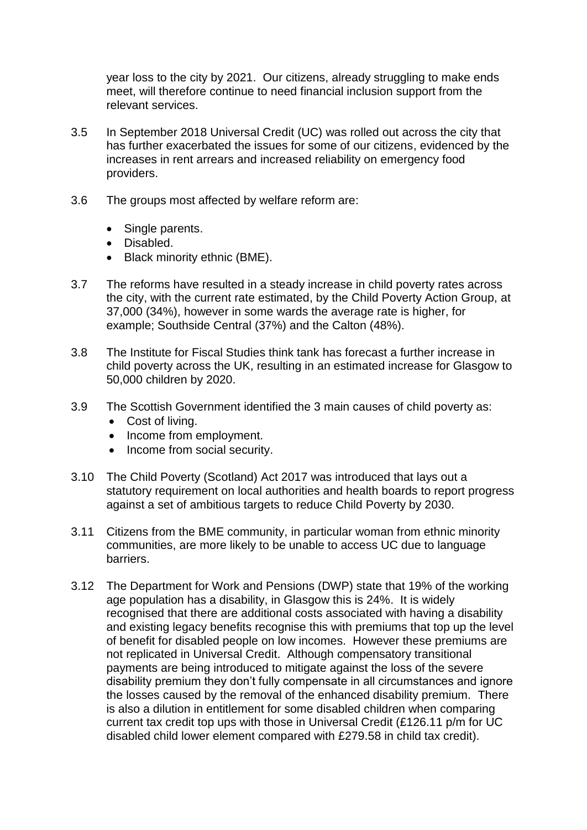year loss to the city by 2021. Our citizens, already struggling to make ends meet, will therefore continue to need financial inclusion support from the relevant services.

- 3.5 In September 2018 Universal Credit (UC) was rolled out across the city that has further exacerbated the issues for some of our citizens, evidenced by the increases in rent arrears and increased reliability on emergency food providers.
- 3.6 The groups most affected by welfare reform are:
	- Single parents.
	- Disabled.
	- Black minority ethnic (BME).
- 3.7 The reforms have resulted in a steady increase in child poverty rates across the city, with the current rate estimated, by the Child Poverty Action Group, at 37,000 (34%), however in some wards the average rate is higher, for example; Southside Central (37%) and the Calton (48%).
- 3.8 The Institute for Fiscal Studies think tank has forecast a further increase in child poverty across the UK, resulting in an estimated increase for Glasgow to 50,000 children by 2020.
- 3.9 The Scottish Government identified the 3 main causes of child poverty as:
	- Cost of living.
	- Income from employment.
	- Income from social security.
- 3.10 The Child Poverty (Scotland) Act 2017 was introduced that lays out a statutory requirement on local authorities and health boards to report progress against a set of ambitious targets to reduce Child Poverty by 2030.
- 3.11 Citizens from the BME community, in particular woman from ethnic minority communities, are more likely to be unable to access UC due to language barriers.
- 3.12 The Department for Work and Pensions (DWP) state that 19% of the working age population has a disability, in Glasgow this is 24%. It is widely recognised that there are additional costs associated with having a disability and existing legacy benefits recognise this with premiums that top up the level of benefit for disabled people on low incomes. However these premiums are not replicated in Universal Credit. Although compensatory transitional payments are being introduced to mitigate against the loss of the severe disability premium they don't fully compensate in all circumstances and ignore the losses caused by the removal of the enhanced disability premium. There is also a dilution in entitlement for some disabled children when comparing current tax credit top ups with those in Universal Credit (£126.11 p/m for UC disabled child lower element compared with £279.58 in child tax credit).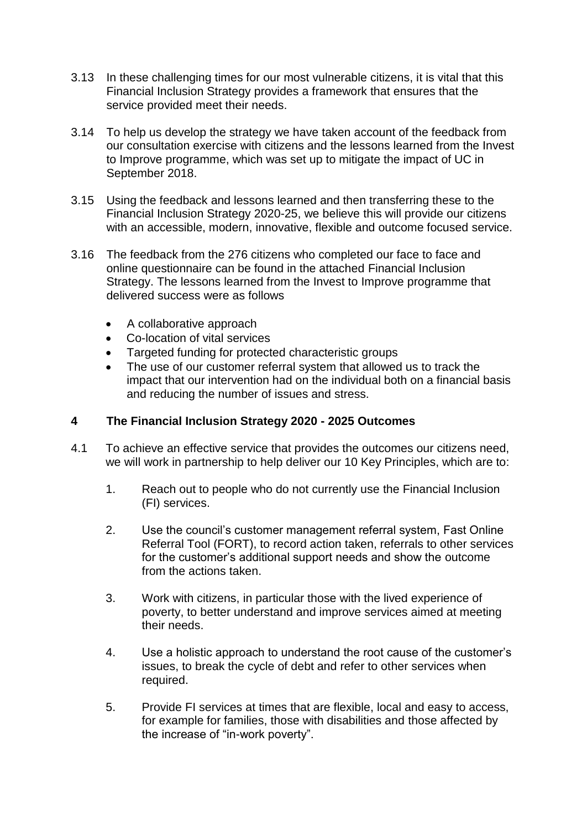- 3.13 In these challenging times for our most vulnerable citizens, it is vital that this Financial Inclusion Strategy provides a framework that ensures that the service provided meet their needs.
- 3.14 To help us develop the strategy we have taken account of the feedback from our consultation exercise with citizens and the lessons learned from the Invest to Improve programme, which was set up to mitigate the impact of UC in September 2018.
- 3.15 Using the feedback and lessons learned and then transferring these to the Financial Inclusion Strategy 2020-25, we believe this will provide our citizens with an accessible, modern, innovative, flexible and outcome focused service.
- 3.16 The feedback from the 276 citizens who completed our face to face and online questionnaire can be found in the attached Financial Inclusion Strategy. The lessons learned from the Invest to Improve programme that delivered success were as follows
	- A collaborative approach
	- Co-location of vital services
	- Targeted funding for protected characteristic groups
	- The use of our customer referral system that allowed us to track the impact that our intervention had on the individual both on a financial basis and reducing the number of issues and stress.

#### **4 The Financial Inclusion Strategy 2020 - 2025 Outcomes**

- 4.1 To achieve an effective service that provides the outcomes our citizens need, we will work in partnership to help deliver our 10 Key Principles, which are to:
	- 1. Reach out to people who do not currently use the Financial Inclusion (FI) services.
	- 2. Use the council's customer management referral system, Fast Online Referral Tool (FORT), to record action taken, referrals to other services for the customer's additional support needs and show the outcome from the actions taken.
	- 3. Work with citizens, in particular those with the lived experience of poverty, to better understand and improve services aimed at meeting their needs.
	- 4. Use a holistic approach to understand the root cause of the customer's issues, to break the cycle of debt and refer to other services when required.
	- 5. Provide FI services at times that are flexible, local and easy to access, for example for families, those with disabilities and those affected by the increase of "in-work poverty".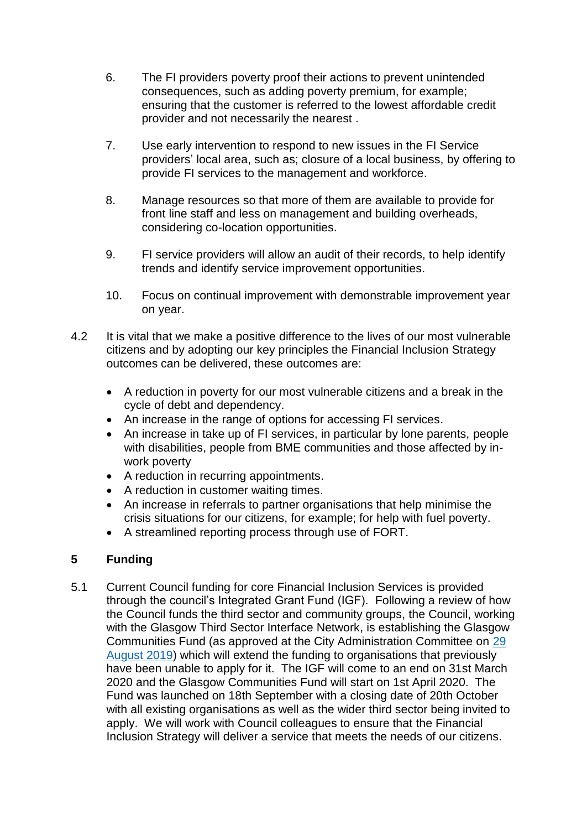- 6. The FI providers poverty proof their actions to prevent unintended consequences, such as adding poverty premium, for example; ensuring that the customer is referred to the lowest affordable credit provider and not necessarily the nearest .
- 7. Use early intervention to respond to new issues in the FI Service providers' local area, such as; closure of a local business, by offering to provide FI services to the management and workforce.
- 8. Manage resources so that more of them are available to provide for front line staff and less on management and building overheads, considering co-location opportunities.
- 9. FI service providers will allow an audit of their records, to help identify trends and identify service improvement opportunities.
- 10. Focus on continual improvement with demonstrable improvement year on year.
- 4.2 It is vital that we make a positive difference to the lives of our most vulnerable citizens and by adopting our key principles the Financial Inclusion Strategy outcomes can be delivered, these outcomes are:
	- A reduction in poverty for our most vulnerable citizens and a break in the cycle of debt and dependency.
	- An increase in the range of options for accessing FI services.
	- An increase in take up of FI services, in particular by lone parents, people with disabilities, people from BME communities and those affected by inwork poverty
	- A reduction in recurring appointments.
	- A reduction in customer waiting times.
	- An increase in referrals to partner organisations that help minimise the crisis situations for our citizens, for example; for help with fuel poverty.
	- A streamlined reporting process through use of FORT.

## **5 Funding**

5.1 Current Council funding for core Financial Inclusion Services is provided through the council's Integrated Grant Fund (IGF). Following a review of how the Council funds the third sector and community groups, the Council, working with the Glasgow Third Sector Interface Network, is establishing the Glasgow Communities Fund (as approved at the City Administration Committee on [29](http://www.glasgow.gov.uk/councillorsandcommittees/submissiondocuments.asp?submissionid=94449)  [August 2019\)](http://www.glasgow.gov.uk/councillorsandcommittees/submissiondocuments.asp?submissionid=94449) which will extend the funding to organisations that previously have been unable to apply for it. The IGF will come to an end on 31st March 2020 and the Glasgow Communities Fund will start on 1st April 2020. The Fund was launched on 18th September with a closing date of 20th October with all existing organisations as well as the wider third sector being invited to apply. We will work with Council colleagues to ensure that the Financial Inclusion Strategy will deliver a service that meets the needs of our citizens.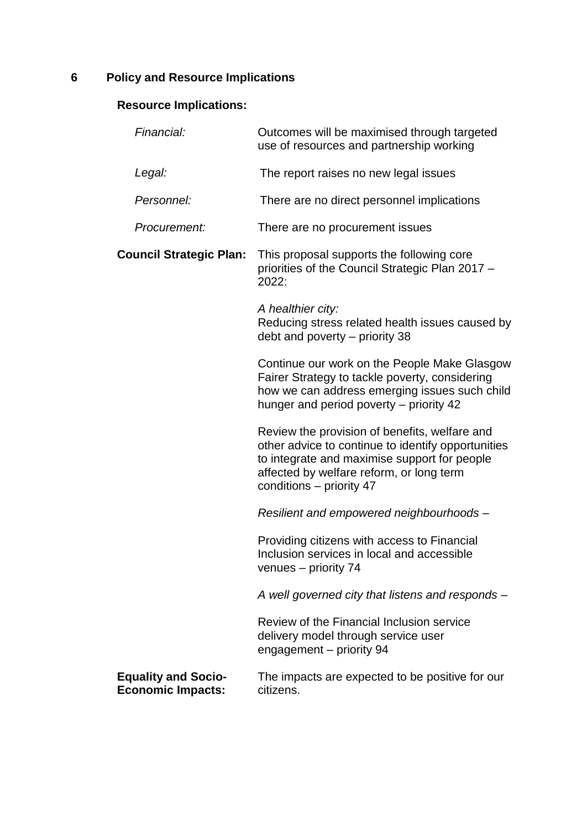# **6 Policy and Resource Implications**

## **Resource Implications:**

| Financial:                                             | Outcomes will be maximised through targeted<br>use of resources and partnership working                                                                                                                                     |
|--------------------------------------------------------|-----------------------------------------------------------------------------------------------------------------------------------------------------------------------------------------------------------------------------|
| Legal:                                                 | The report raises no new legal issues                                                                                                                                                                                       |
| Personnel:                                             | There are no direct personnel implications                                                                                                                                                                                  |
| Procurement:                                           | There are no procurement issues                                                                                                                                                                                             |
| <b>Council Strategic Plan:</b>                         | This proposal supports the following core<br>priorities of the Council Strategic Plan 2017 -<br>2022:                                                                                                                       |
|                                                        | A healthier city:<br>Reducing stress related health issues caused by<br>debt and poverty – priority 38                                                                                                                      |
|                                                        | Continue our work on the People Make Glasgow<br>Fairer Strategy to tackle poverty, considering<br>how we can address emerging issues such child<br>hunger and period poverty – priority 42                                  |
|                                                        | Review the provision of benefits, welfare and<br>other advice to continue to identify opportunities<br>to integrate and maximise support for people<br>affected by welfare reform, or long term<br>conditions – priority 47 |
|                                                        | Resilient and empowered neighbourhoods -                                                                                                                                                                                    |
|                                                        | Providing citizens with access to Financial<br>Inclusion services in local and accessible<br>venues - priority 74                                                                                                           |
|                                                        | A well governed city that listens and responds -                                                                                                                                                                            |
|                                                        | Review of the Financial Inclusion service<br>delivery model through service user<br>engagement - priority 94                                                                                                                |
| <b>Equality and Socio-</b><br><b>Economic Impacts:</b> | The impacts are expected to be positive for our<br>citizens.                                                                                                                                                                |